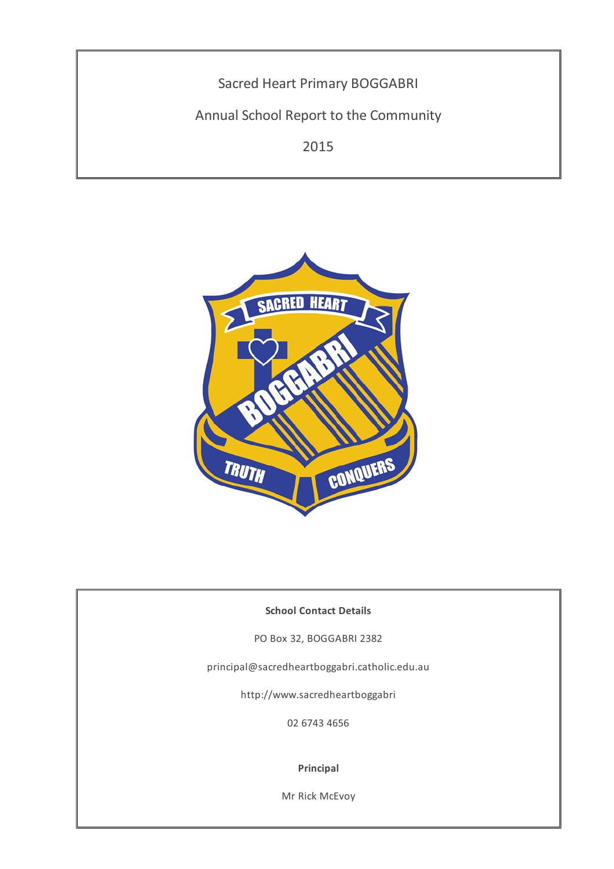



# **School Contact Details**

PO Box 32, BOGGABRI 2382

principal@sacredheartboggabri.catholic.edu.au

http://www.sacredheartboggabri

02 6743 4656

#### **Principal**

Mr Rick McEvoy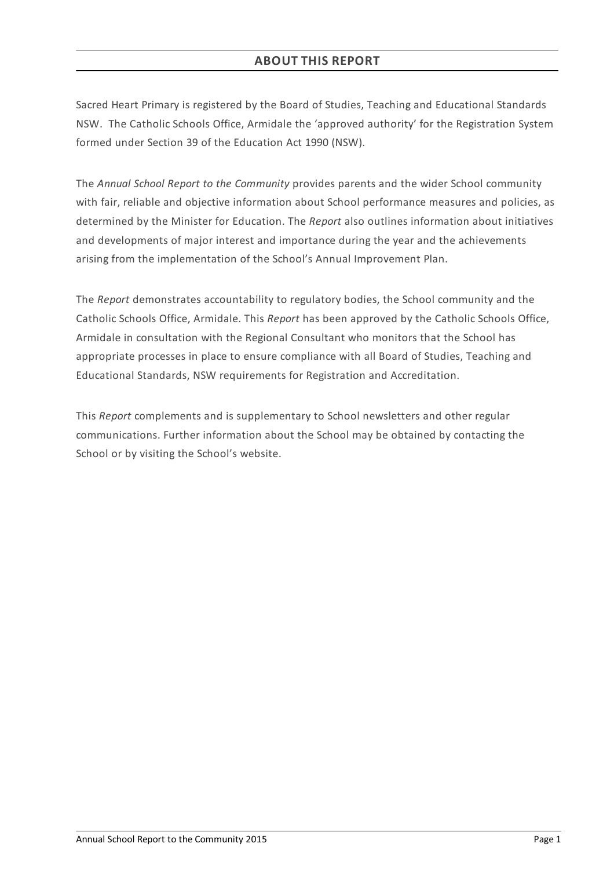Sacred Heart Primary is registered by the Board of Studies, Teaching and Educational Standards NSW. The Catholic Schools Office, Armidale the 'approved authority' for the Registration System formed under Section 39 of the Education Act 1990 (NSW).

The *Annual School Report to the Community* provides parents and the wider School community with fair, reliable and objective information about School performance measures and policies, as determined by the Minister for Education. The *Report* also outlines information about initiatives and developments of major interest and importance during the year and the achievements arising from the implementation of the School's Annual Improvement Plan.

The *Report* demonstrates accountability to regulatory bodies, the School community and the Catholic Schools Office, Armidale. This *Report* has been approved by the Catholic Schools Office, Armidale in consultation with the Regional Consultant who monitors that the School has appropriate processes in place to ensure compliance with all Board of Studies, Teaching and Educational Standards, NSW requirements for Registration and Accreditation.

This *Report* complements and is supplementary to School newsletters and other regular communications. Further information about the School may be obtained by contacting the School or by visiting the School's website.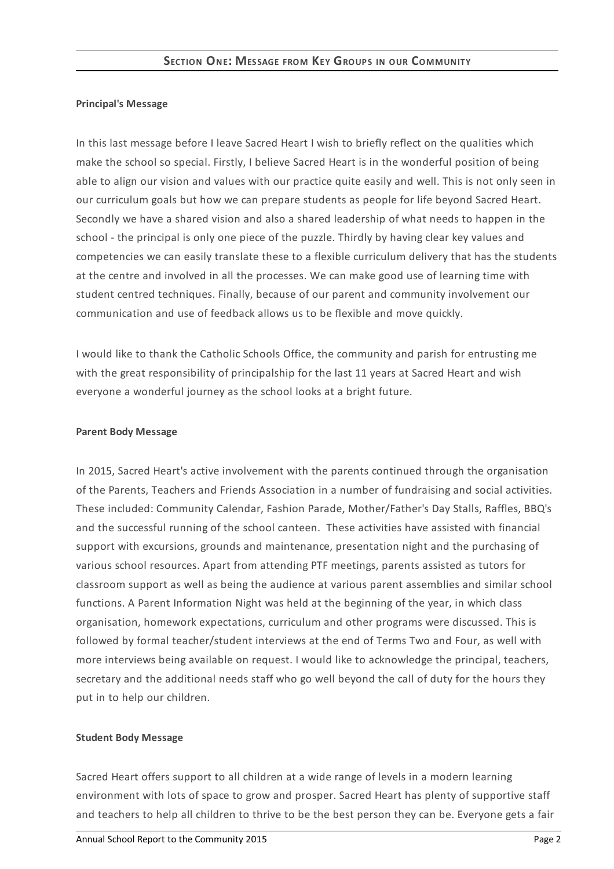#### **Principal's Message**

In this last message before I leave Sacred Heart I wish to briefly reflect on the qualities which make the school so special. Firstly, I believe Sacred Heart is in the wonderful position of being able to align our vision and values with our practice quite easily and well. This is not only seen in our curriculum goals but how we can prepare students as people for life beyond Sacred Heart. Secondly we have a shared vision and also a shared leadership of what needs to happen in the school - the principal is only one piece of the puzzle. Thirdly by having clear key values and competencies we can easily translate these to a flexible curriculum delivery that has the students at the centre and involved in all the processes. We can make good use of learning time with student centred techniques. Finally, because of our parent and community involvement our communication and use of feedback allows us to be flexible and move quickly.

I would like to thank the Catholic Schools Office, the community and parish for entrusting me with the great responsibility of principalship for the last 11 years at Sacred Heart and wish everyone a wonderful journey as the school looks at a bright future.

#### **Parent Body Message**

In 2015, Sacred Heart's active involvement with the parents continued through the organisation of the Parents, Teachers and Friends Association in a number of fundraising and social activities. These included: Community Calendar, Fashion Parade, Mother/Father's Day Stalls, Raffles, BBQ's and the successful running of the school canteen. These activities have assisted with financial support with excursions, grounds and maintenance, presentation night and the purchasing of various school resources. Apart from attending PTF meetings, parents assisted as tutors for classroom support as well as being the audience at various parent assemblies and similar school functions. A Parent Information Night was held at the beginning of the year, in which class organisation, homework expectations, curriculum and other programs were discussed. This is followed by formal teacher/student interviews at the end of Terms Two and Four, as well with more interviews being available on request. I would like to acknowledge the principal, teachers, secretary and the additional needs staff who go well beyond the call of duty for the hours they put in to help our children.

#### **Student Body Message**

Sacred Heart offers support to all children at a wide range of levels in a modern learning environment with lots of space to grow and prosper. Sacred Heart has plenty of supportive staff and teachers to help all children to thrive to be the best person they can be. Everyone gets a fair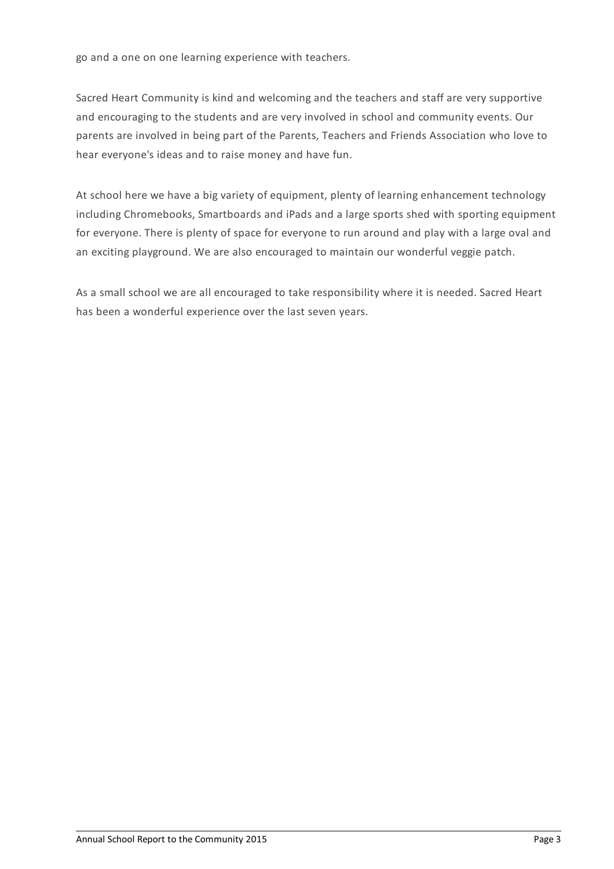go and a one on one learning experience with teachers.

Sacred Heart Community is kind and welcoming and the teachers and staff are very supportive and encouraging to the students and are very involved in school and community events. Our parents are involved in being part of the Parents, Teachers and Friends Association who love to hear everyone's ideas and to raise money and have fun.

At school here we have a big variety of equipment, plenty of learning enhancement technology including Chromebooks, Smartboards and iPads and a large sports shed with sporting equipment for everyone. There is plenty of space for everyone to run around and play with a large oval and an exciting playground. We are also encouraged to maintain our wonderful veggie patch.

As a small school we are all encouraged to take responsibility where it is needed. Sacred Heart has been a wonderful experience over the last seven years.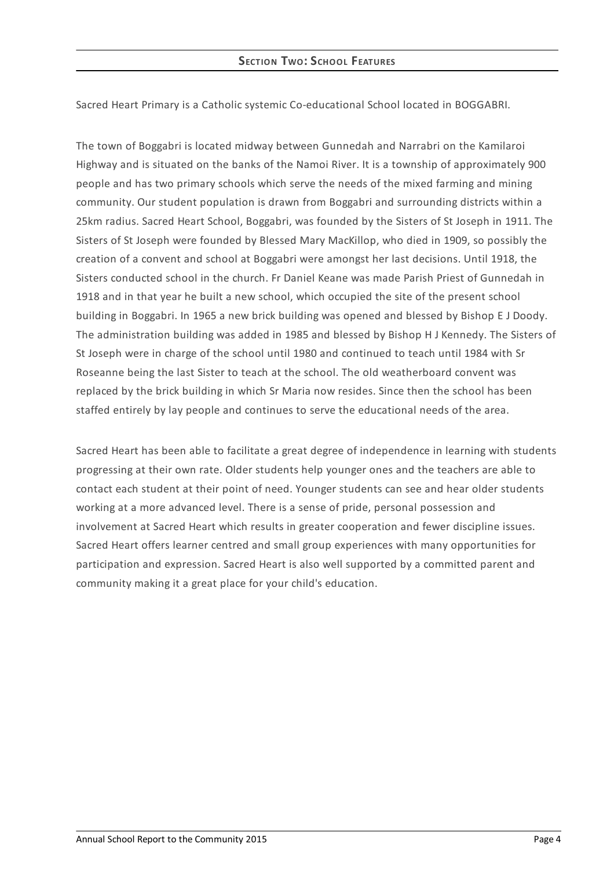Sacred Heart Primary is a Catholic systemic Co-educational School located in BOGGABRI.

The town of Boggabri is located midway between Gunnedah and Narrabri on the Kamilaroi Highway and is situated on the banks of the Namoi River. It is a township of approximately 900 people and has two primary schools which serve the needs of the mixed farming and mining community. Our student population is drawn from Boggabri and surrounding districts within a 25km radius. Sacred Heart School, Boggabri, was founded by the Sisters of St Joseph in 1911. The Sisters of St Joseph were founded by Blessed Mary MacKillop, who died in 1909, so possibly the creation of a convent and school at Boggabri were amongst her last decisions. Until 1918, the Sisters conducted school in the church. Fr Daniel Keane was made Parish Priest of Gunnedah in 1918 and in that year he built a new school, which occupied the site of the present school building in Boggabri. In 1965 a new brick building was opened and blessed by Bishop E J Doody. The administration building was added in 1985 and blessed by Bishop H J Kennedy. The Sisters of St Joseph were in charge of the school until 1980 and continued to teach until 1984 with Sr Roseanne being the last Sister to teach at the school. The old weatherboard convent was replaced by the brick building in which Sr Maria now resides. Since then the school has been staffed entirely by lay people and continues to serve the educational needs of the area.

Sacred Heart has been able to facilitate a great degree of independence in learning with students progressing at their own rate. Older students help younger ones and the teachers are able to contact each student at their point of need. Younger students can see and hear older students working at a more advanced level. There is a sense of pride, personal possession and involvement at Sacred Heart which results in greater cooperation and fewer discipline issues. Sacred Heart offers learner centred and small group experiences with many opportunities for participation and expression. Sacred Heart is also well supported by a committed parent and community making it a great place for your child's education.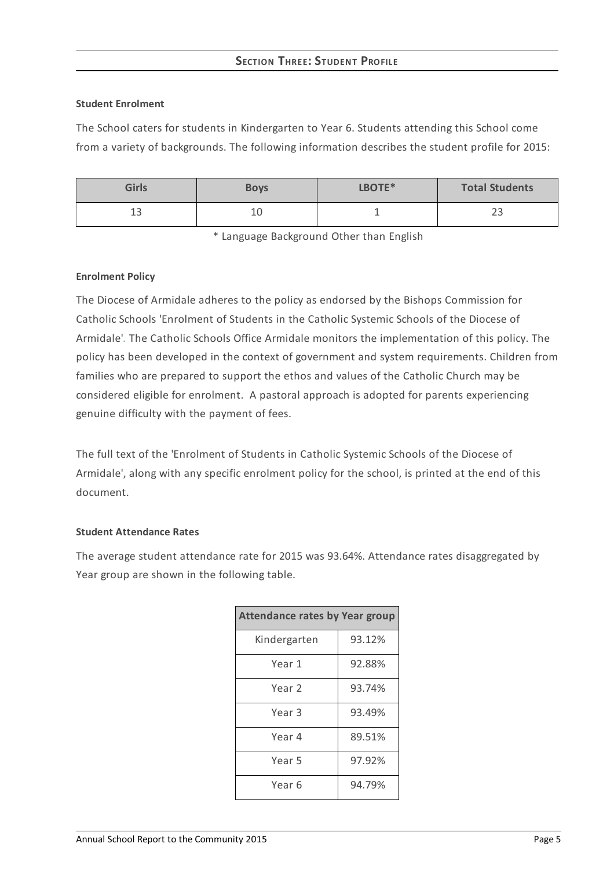# **SECTION THREE:STUDENT PROFILE**

#### **Student Enrolment**

The School caters for students in Kindergarten to Year 6. Students attending this School come from a variety of backgrounds. The following information describes the student profile for 2015:

| Girls | <b>Boys</b> | LBOTE* | <b>Total Students</b> |
|-------|-------------|--------|-----------------------|
| ᅩ     | 10          |        | بے                    |

\* Language Background Other than English

#### **Enrolment Policy**

The Diocese of Armidale adheres to the policy as endorsed by the Bishops Commission for Catholic Schools 'Enrolment of Students in the Catholic Systemic Schools of the Diocese of Armidale'*[.](http://www.ceosyd.catholic.edu.au/About/Pages/pol-pos-papers.aspx)* The Catholic Schools Office Armidale monitors the implementation of this policy. The policy has been developed in the context of government and system requirements. Children from families who are prepared to support the ethos and values of the Catholic Church may be considered eligible for enrolment. A pastoral approach is adopted for parents experiencing genuine difficulty with the payment of fees.

The full text of the 'Enrolment of Students in Catholic Systemic Schools of the Diocese of Armidale', along with any specific enrolment policy for the school, is printed at the end of this document.

## **Student Attendance Rates**

The average student attendance rate for 2015 was 93.64%. Attendance rates disaggregated by Year group are shown in the following table.

| <b>Attendance rates by Year group</b> |        |  |  |
|---------------------------------------|--------|--|--|
| Kindergarten                          | 93.12% |  |  |
| Year 1                                | 92.88% |  |  |
| Year <sub>2</sub>                     | 93.74% |  |  |
| Year 3                                | 93.49% |  |  |
| Year 4                                | 89.51% |  |  |
| Year 5                                | 97.92% |  |  |
| Year 6                                | 94.79% |  |  |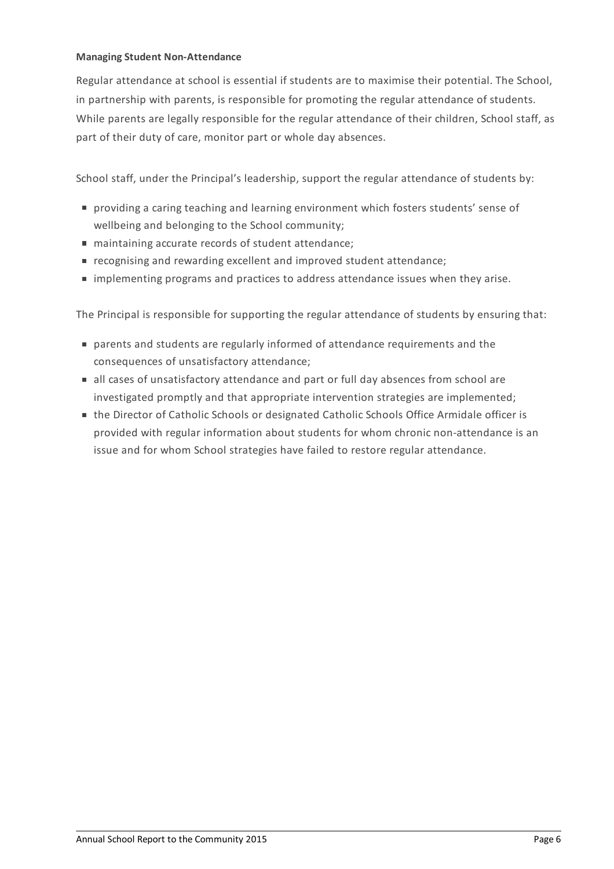#### **Managing Student Non-Attendance**

Regular attendance at school is essential if students are to maximise their potential. The School, in partnership with parents, is responsible for promoting the regular attendance of students. While parents are legally responsible for the regular attendance of their children, School staff, as part of their duty of care, monitor part or whole day absences.

School staff, under the Principal's leadership, support the regular attendance of students by:

- providing a caring teaching and learning environment which fosters students' sense of wellbeing and belonging to the School community;
- maintaining accurate records of student attendance;
- recognising and rewarding excellent and improved student attendance;
- implementing programs and practices to address attendance issues when they arise.

The Principal is responsible for supporting the regular attendance of students by ensuring that:

- parents and students are regularly informed of attendance requirements and the consequences of unsatisfactory attendance;
- all cases of unsatisfactory attendance and part or full day absences from school are investigated promptly and that appropriate intervention strategies are implemented;
- the Director of Catholic Schools or designated Catholic Schools Office Armidale officer is provided with regular information about students for whom chronic non-attendance is an issue and for whom School strategies have failed to restore regular attendance.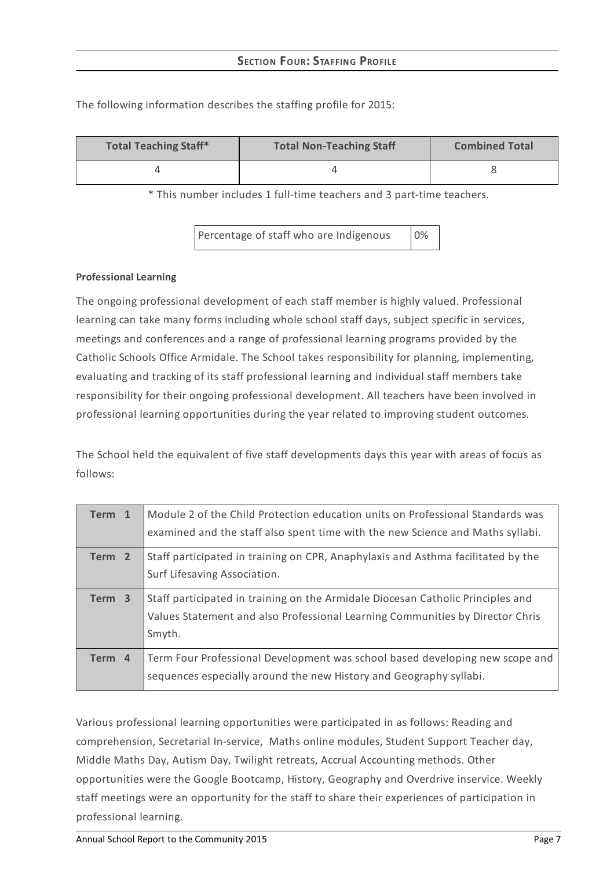| <b>Total Teaching Staff*</b> | <b>Total Non-Teaching Staff</b> | <b>Combined Total</b> |
|------------------------------|---------------------------------|-----------------------|
|                              |                                 |                       |

The following information describes the staffing profile for 2015:

\* This number includes 1 full-time teachers and 3 part-time teachers.

Percentage of staff who are Indigenous 0%

## **Professional Learning**

The ongoing professional development of each staff member is highly valued. Professional learning can take many forms including whole school staff days, subject specific in services, meetings and conferences and a range of professional learning programs provided by the Catholic Schools Office Armidale. The School takes responsibility for planning, implementing, evaluating and tracking of its staff professional learning and individual staff members take responsibility for their ongoing professional development. All teachers have been involved in professional learning opportunities during the year related to improving student outcomes.

The School held the equivalent of five staff developments days this year with areas of focus as follows:

| Term 1            | Module 2 of the Child Protection education units on Professional Standards was<br>examined and the staff also spent time with the new Science and Maths syllabi.           |
|-------------------|----------------------------------------------------------------------------------------------------------------------------------------------------------------------------|
| Term <sub>2</sub> | Staff participated in training on CPR, Anaphylaxis and Asthma facilitated by the<br>Surf Lifesaving Association.                                                           |
| Term 3            | Staff participated in training on the Armidale Diocesan Catholic Principles and<br>Values Statement and also Professional Learning Communities by Director Chris<br>Smyth. |
| Term 4            | Term Four Professional Development was school based developing new scope and<br>sequences especially around the new History and Geography syllabi.                         |

Various professional learning opportunities were participated in as follows: Reading and comprehension, Secretarial In-service, Maths online modules, Student Support Teacher day, Middle Maths Day, Autism Day, Twilight retreats, Accrual Accounting methods. Other opportunities were the Google Bootcamp, History, Geography and Overdrive inservice. Weekly staff meetings were an opportunity for the staff to share their experiences of participation in professional learning.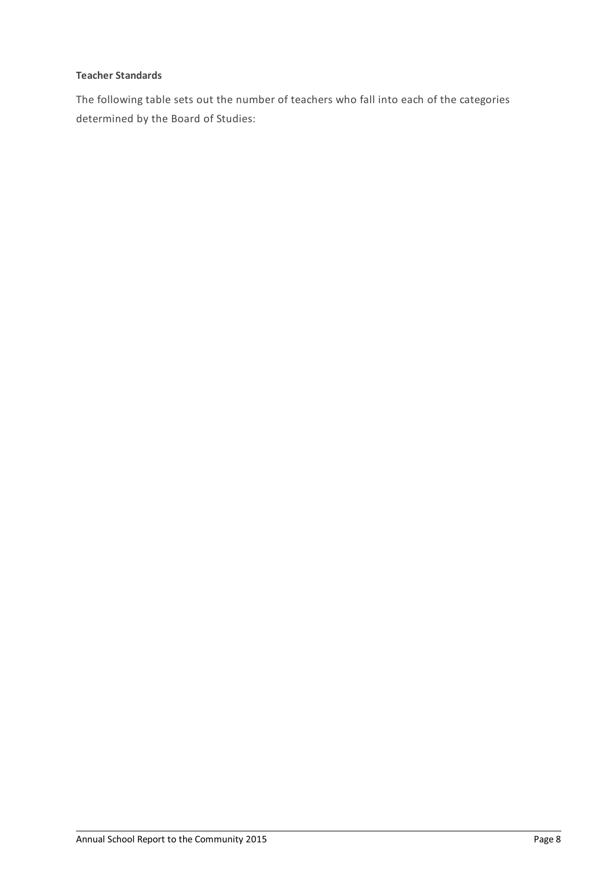# **Teacher Standards**

The following table sets out the number of teachers who fall into each of the categories determined by the Board of Studies: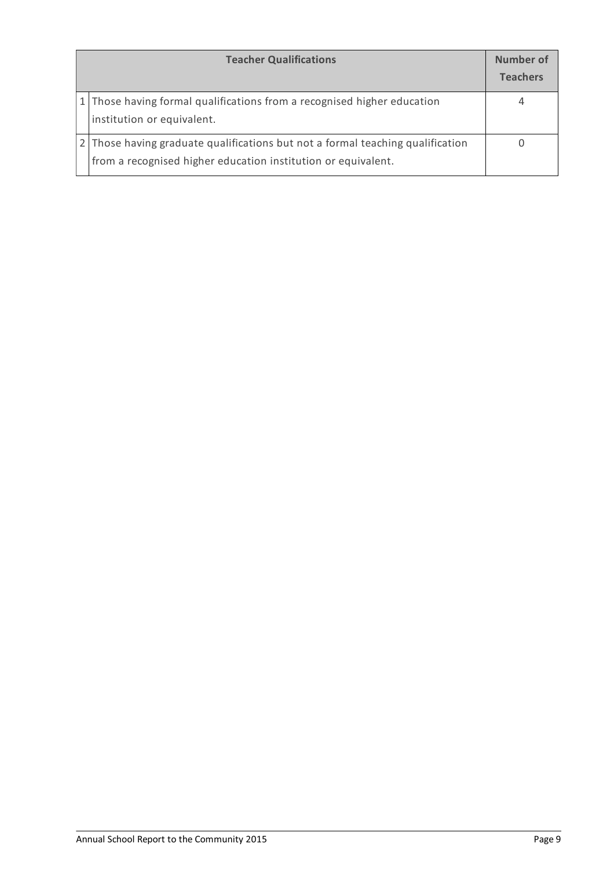| <b>Teacher Qualifications</b> |                                                                                                                                               | Number of<br><b>Teachers</b> |
|-------------------------------|-----------------------------------------------------------------------------------------------------------------------------------------------|------------------------------|
|                               | 1 Those having formal qualifications from a recognised higher education<br>institution or equivalent.                                         |                              |
|                               | Those having graduate qualifications but not a formal teaching qualification<br>from a recognised higher education institution or equivalent. |                              |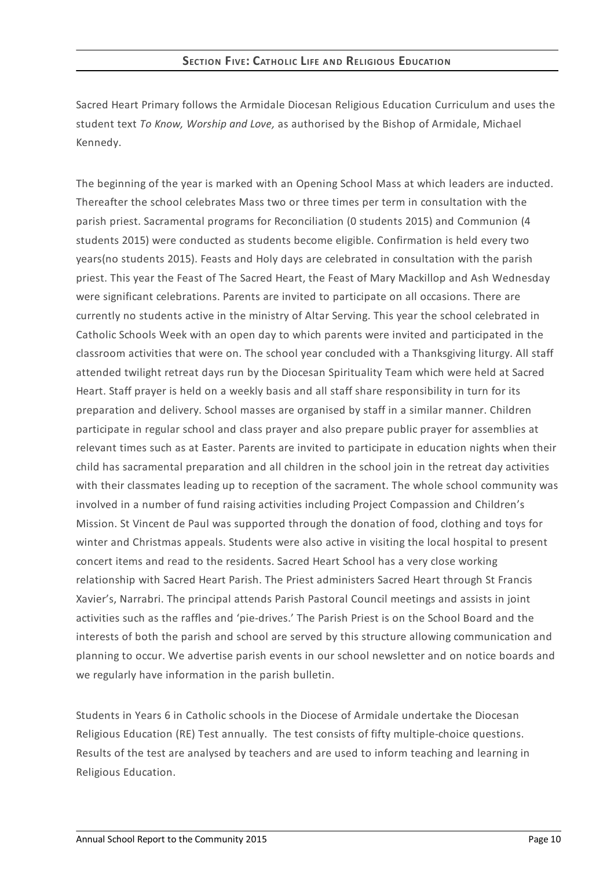Sacred Heart Primary follows the Armidale Diocesan Religious Education Curriculum and uses the student text *To Know, Worship and Love,* as authorised by the Bishop of Armidale, Michael Kennedy.

The beginning of the year is marked with an Opening School Mass at which leaders are inducted. Thereafter the school celebrates Mass two or three times per term in consultation with the parish priest. Sacramental programs for Reconciliation (0 students 2015) and Communion (4 students 2015) were conducted as students become eligible. Confirmation is held every two years(no students 2015). Feasts and Holy days are celebrated in consultation with the parish priest. This year the Feast of The Sacred Heart, the Feast of Mary Mackillop and Ash Wednesday were significant celebrations. Parents are invited to participate on all occasions. There are currently no students active in the ministry of Altar Serving. This year the school celebrated in Catholic Schools Week with an open day to which parents were invited and participated in the classroom activities that were on. The school year concluded with a Thanksgiving liturgy. All staff attended twilight retreat days run by the Diocesan Spirituality Team which were held at Sacred Heart. Staff prayer is held on a weekly basis and all staff share responsibility in turn for its preparation and delivery. School masses are organised by staff in a similar manner. Children participate in regular school and class prayer and also prepare public prayer for assemblies at relevant times such as at Easter. Parents are invited to participate in education nights when their child has sacramental preparation and all children in the school join in the retreat day activities with their classmates leading up to reception of the sacrament. The whole school community was involved in a number of fund raising activities including Project Compassion and Children's Mission. St Vincent de Paul was supported through the donation of food, clothing and toys for winter and Christmas appeals. Students were also active in visiting the local hospital to present concert items and read to the residents. Sacred Heart School has a very close working relationship with Sacred Heart Parish. The Priest administers Sacred Heart through St Francis Xavier's, Narrabri. The principal attends Parish Pastoral Council meetings and assists in joint activities such as the raffles and 'pie-drives.' The Parish Priest is on the School Board and the interests of both the parish and school are served by this structure allowing communication and planning to occur. We advertise parish events in our school newsletter and on notice boards and we regularly have information in the parish bulletin.

Students in Years 6 in Catholic schools in the Diocese of Armidale undertake the Diocesan Religious Education (RE) Test annually. The test consists of fifty multiple-choice questions. Results of the test are analysed by teachers and are used to inform teaching and learning in Religious Education.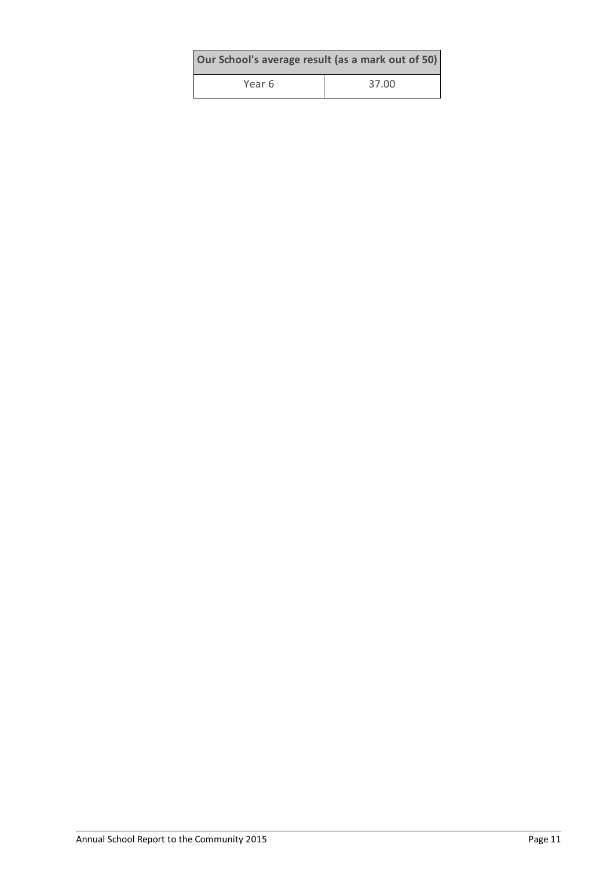| Our School's average result (as a mark out of 50) |       |  |  |
|---------------------------------------------------|-------|--|--|
| Year 6                                            | 37.00 |  |  |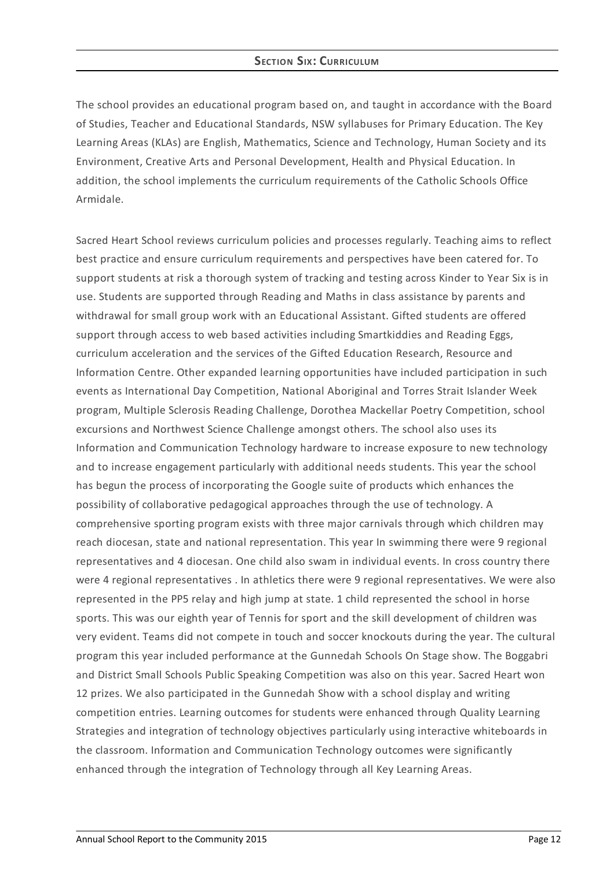# **SECTION SIX: CURRICULUM**

The school provides an educational program based on, and taught in accordance with the Board of Studies, Teacher and Educational Standards, NSW syllabuses for Primary Education. The Key Learning Areas (KLAs) are English, Mathematics, Science and Technology, Human Society and its Environment, Creative Arts and Personal Development, Health and Physical Education. In addition, the school implements the curriculum requirements of the Catholic Schools Office Armidale.

Sacred Heart School reviews curriculum policies and processes regularly. Teaching aims to reflect best practice and ensure curriculum requirements and perspectives have been catered for. To support students at risk a thorough system of tracking and testing across Kinder to Year Six is in use. Students are supported through Reading and Maths in class assistance by parents and withdrawal for small group work with an Educational Assistant. Gifted students are offered support through access to web based activities including Smartkiddies and Reading Eggs, curriculum acceleration and the services of the Gifted Education Research, Resource and Information Centre. Other expanded learning opportunities have included participation in such events as International Day Competition, National Aboriginal and Torres Strait Islander Week program, Multiple Sclerosis Reading Challenge, Dorothea Mackellar Poetry Competition, school excursions and Northwest Science Challenge amongst others. The school also uses its Information and Communication Technology hardware to increase exposure to new technology and to increase engagement particularly with additional needs students. This year the school has begun the process of incorporating the Google suite of products which enhances the possibility of collaborative pedagogical approaches through the use of technology. A comprehensive sporting program exists with three major carnivals through which children may reach diocesan, state and national representation. This year In swimming there were 9 regional representatives and 4 diocesan. One child also swam in individual events. In cross country there were 4 regional representatives . In athletics there were 9 regional representatives. We were also represented in the PP5 relay and high jump at state. 1 child represented the school in horse sports. This was our eighth year of Tennis for sport and the skill development of children was very evident. Teams did not compete in touch and soccer knockouts during the year. The cultural program this year included performance at the Gunnedah Schools On Stage show. The Boggabri and District Small Schools Public Speaking Competition was also on this year. Sacred Heart won 12 prizes. We also participated in the Gunnedah Show with a school display and writing competition entries. Learning outcomes for students were enhanced through Quality Learning Strategies and integration of technology objectives particularly using interactive whiteboards in the classroom. Information and Communication Technology outcomes were significantly enhanced through the integration of Technology through all Key Learning Areas.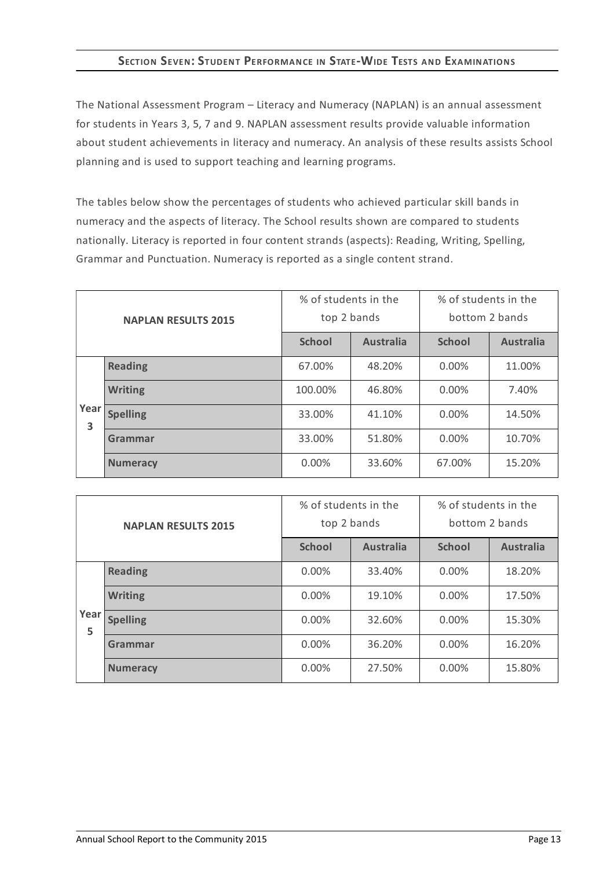# **SECTION SEVEN:STUDENT PERFORMANCE IN STATE-WIDE TESTS AND EXAMINATIONS**

The National Assessment Program – Literacy and Numeracy (NAPLAN) is an annual assessment for students in Years 3, 5, 7 and 9. NAPLAN assessment results provide valuable information about student achievements in literacy and numeracy. An analysis of these results assists School planning and is used to support teaching and learning programs.

The tables below show the percentages of students who achieved particular skill bands in numeracy and the aspects of literacy. The School results shown are compared to students nationally. Literacy is reported in four content strands (aspects): Reading, Writing, Spelling, Grammar and Punctuation. Numeracy is reported as a single content strand.

| <b>NAPLAN RESULTS 2015</b> |                 | % of students in the<br>top 2 bands |                  | % of students in the<br>bottom 2 bands |                  |
|----------------------------|-----------------|-------------------------------------|------------------|----------------------------------------|------------------|
|                            |                 | <b>School</b>                       | <b>Australia</b> | <b>School</b>                          | <b>Australia</b> |
|                            | <b>Reading</b>  | 67.00%                              | 48.20%           | $0.00\%$                               | 11.00%           |
|                            | <b>Writing</b>  | 100.00%                             | 46.80%           | $0.00\%$                               | 7.40%            |
| Year<br>3                  | <b>Spelling</b> | 33.00%                              | 41.10%           | $0.00\%$                               | 14.50%           |
|                            | Grammar         | 33.00%                              | 51.80%           | $0.00\%$                               | 10.70%           |
|                            | <b>Numeracy</b> | 0.00%                               | 33.60%           | 67.00%                                 | 15.20%           |

| <b>NAPLAN RESULTS 2015</b> |                 | % of students in the<br>top 2 bands |                  | % of students in the<br>bottom 2 bands |                  |
|----------------------------|-----------------|-------------------------------------|------------------|----------------------------------------|------------------|
|                            |                 | <b>School</b>                       | <b>Australia</b> | <b>School</b>                          | <b>Australia</b> |
|                            | <b>Reading</b>  | $0.00\%$                            | 33.40%           | $0.00\%$                               | 18.20%           |
|                            | <b>Writing</b>  | $0.00\%$                            | 19.10%           | $0.00\%$                               | 17.50%           |
| Year<br>5                  | <b>Spelling</b> | $0.00\%$                            | 32.60%           | $0.00\%$                               | 15.30%           |
|                            | Grammar         | $0.00\%$                            | 36.20%           | $0.00\%$                               | 16.20%           |
|                            | <b>Numeracy</b> | 0.00%                               | 27.50%           | 0.00%                                  | 15.80%           |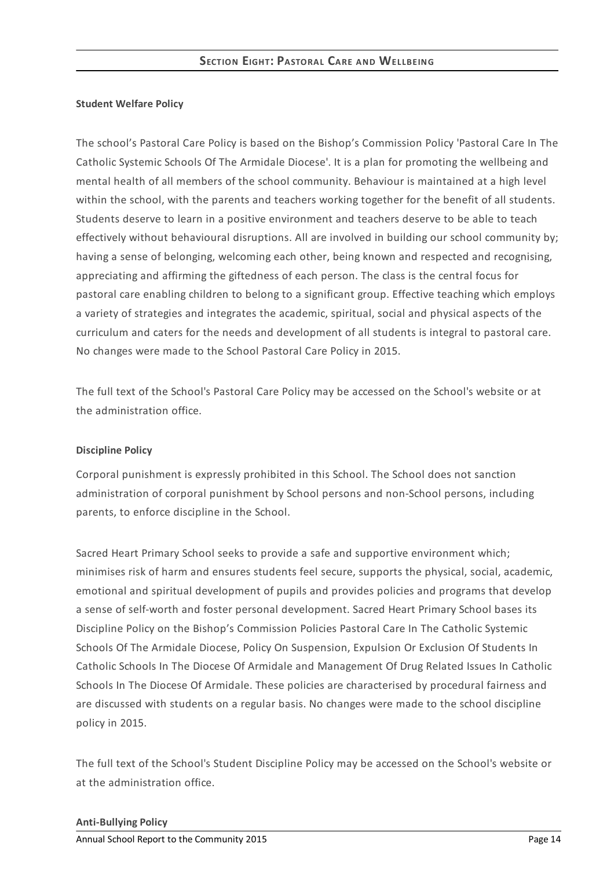## **Student Welfare Policy**

The school's Pastoral Care Policy is based on the Bishop's Commission Policy 'Pastoral Care In The Catholic Systemic Schools Of The Armidale Diocese'. It is a plan for promoting the wellbeing and mental health of all members of the school community. Behaviour is maintained at a high level within the school, with the parents and teachers working together for the benefit of all students. Students deserve to learn in a positive environment and teachers deserve to be able to teach effectively without behavioural disruptions. All are involved in building our school community by; having a sense of belonging, welcoming each other, being known and respected and recognising, appreciating and affirming the giftedness of each person. The class is the central focus for pastoral care enabling children to belong to a significant group. Effective teaching which employs a variety of strategies and integrates the academic, spiritual, social and physical aspects of the curriculum and caters for the needs and development of all students is integral to pastoral care. No changes were made to the School Pastoral Care Policy in 2015.

The full text of the School's Pastoral Care Policy may be accessed on the School's website or at the administration office.

## **Discipline Policy**

Corporal punishment is expressly prohibited in this School. The School does not sanction administration of corporal punishment by School persons and non-School persons, including parents, to enforce discipline in the School.

Sacred Heart Primary School seeks to provide a safe and supportive environment which; minimises risk of harm and ensures students feel secure, supports the physical, social, academic, emotional and spiritual development of pupils and provides policies and programs that develop a sense of self-worth and foster personal development. Sacred Heart Primary School bases its Discipline Policy on the Bishop's Commission Policies Pastoral Care In The Catholic Systemic Schools Of The Armidale Diocese, Policy On Suspension, Expulsion Or Exclusion Of Students In Catholic Schools In The Diocese Of Armidale and Management Of Drug Related Issues In Catholic Schools In The Diocese Of Armidale. These policies are characterised by procedural fairness and are discussed with students on a regular basis. No changes were made to the school discipline policy in 2015.

The full text of the School's Student Discipline Policy may be accessed on the School's website or at the administration office.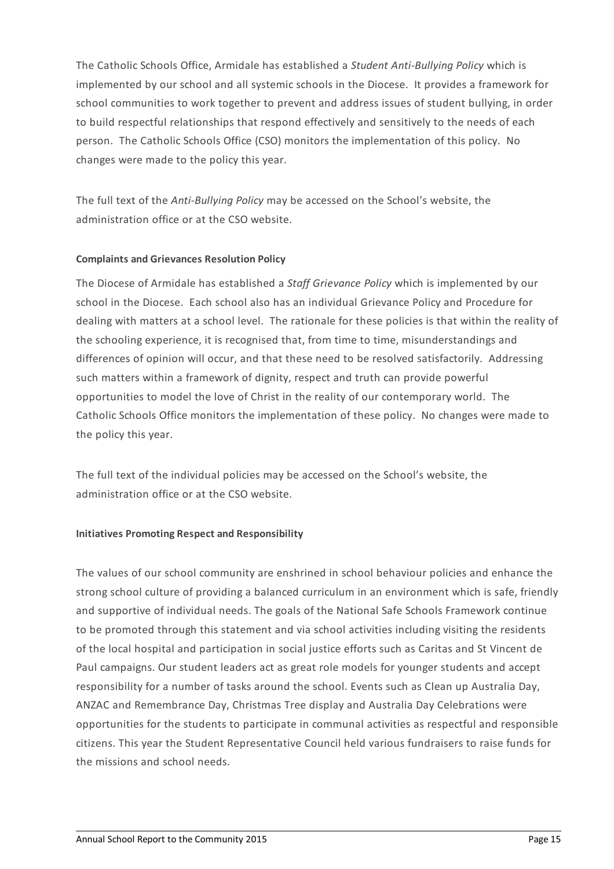The Catholic Schools Office, Armidale has established a *Student Anti-Bullying Policy* which is implemented by our school and all systemic schools in the Diocese. It provides a framework for school communities to work together to prevent and address issues of student bullying, in order to build respectful relationships that respond effectively and sensitively to the needs of each person. The Catholic Schools Office (CSO) monitors the implementation of this policy. No changes were made to the policy this year.

The full text of the *Anti-Bullying Policy* may be accessed on the School's website, the administration office or at the CSO website.

## **Complaints and Grievances Resolution Policy**

The Diocese of Armidale has established a *Staff Grievance Policy* which is implemented by our school in the Diocese. Each school also has an individual Grievance Policy and Procedure for dealing with matters at a school level. The rationale for these policies is that within the reality of the schooling experience, it is recognised that, from time to time, misunderstandings and differences of opinion will occur, and that these need to be resolved satisfactorily. Addressing such matters within a framework of dignity, respect and truth can provide powerful opportunities to model the love of Christ in the reality of our contemporary world. The Catholic Schools Office monitors the implementation of these policy. No changes were made to the policy this year.

The full text of the individual policies may be accessed on the School's website, the administration office or at the CSO website.

## **Initiatives Promoting Respect and Responsibility**

The values of our school community are enshrined in school behaviour policies and enhance the strong school culture of providing a balanced curriculum in an environment which is safe, friendly and supportive of individual needs. The goals of the National Safe Schools Framework continue to be promoted through this statement and via school activities including visiting the residents of the local hospital and participation in social justice efforts such as Caritas and St Vincent de Paul campaigns. Our student leaders act as great role models for younger students and accept responsibility for a number of tasks around the school. Events such as Clean up Australia Day, ANZAC and Remembrance Day, Christmas Tree display and Australia Day Celebrations were opportunities for the students to participate in communal activities as respectful and responsible citizens. This year the Student Representative Council held various fundraisers to raise funds for the missions and school needs.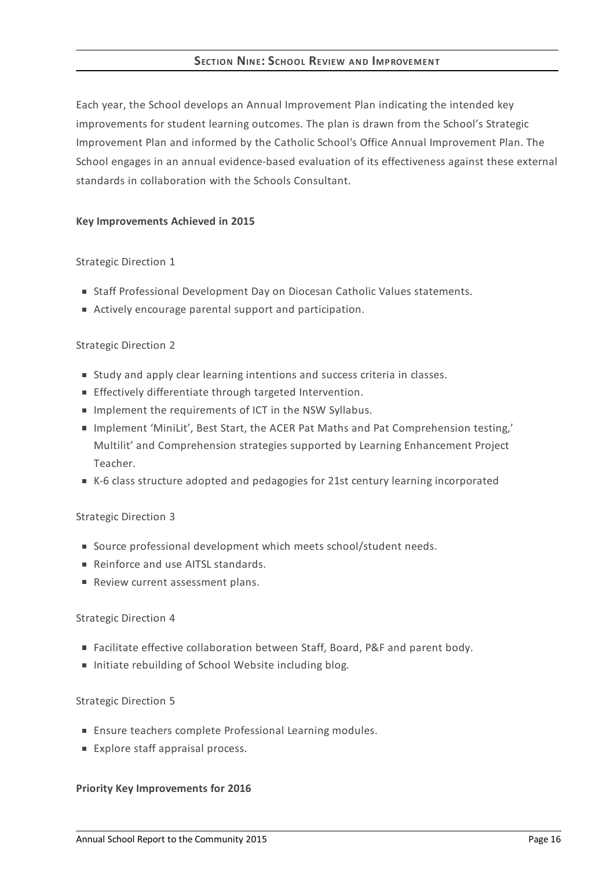# **SECTION NINE:SCHOOL REVIEW AND IMPROVEMENT**

Each year, the School develops an Annual Improvement Plan indicating the intended key improvements for student learning outcomes. The plan is drawn from the School's Strategic Improvement Plan and informed by the Catholic School's Office Annual Improvement Plan. The School engages in an annual evidence-based evaluation of its effectiveness against these external standards in collaboration with the Schools Consultant.

#### **Key Improvements Achieved in 2015**

## Strategic Direction 1

- **Staff Professional Development Day on Diocesan Catholic Values statements.**
- Actively encourage parental support and participation.

#### Strategic Direction 2

- Study and apply clear learning intentions and success criteria in classes.
- **Effectively differentiate through targeted Intervention.**
- **IMPLEMENT IS NOTE 10** IMPLEMENT IN IMPLEMENT IN IMPLIES.
- Implement 'MiniLit', Best Start, the ACER Pat Maths and Pat Comprehension testing,' Multilit' and Comprehension strategies supported by Learning Enhancement Project Teacher.
- K-6 class structure adopted and pedagogies for 21st century learning incorporated

## Strategic Direction 3

- Source professional development which meets school/student needs.
- Reinforce and use AITSL standards.
- Review current assessment plans.

#### Strategic Direction 4

- Facilitate effective collaboration between Staff, Board, P&F and parent body.
- Initiate rebuilding of School Website including blog.

#### Strategic Direction 5

- **Ensure teachers complete Professional Learning modules.**
- Explore staff appraisal process.

#### **Priority Key Improvements for 2016**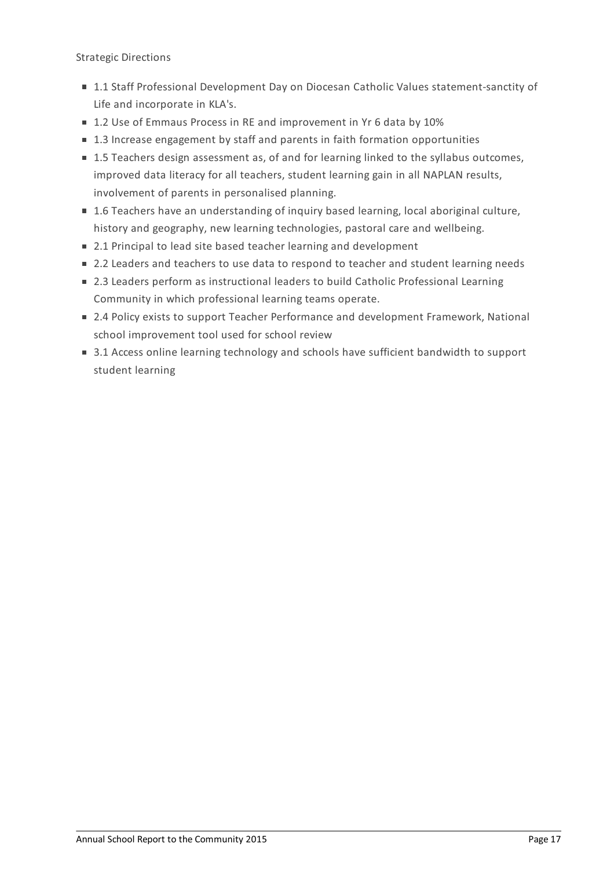Strategic Directions

- 1.1 Staff Professional Development Day on Diocesan Catholic Values statement-sanctity of Life and incorporate in KLA's.
- 1.2 Use of Emmaus Process in RE and improvement in Yr 6 data by 10%
- 1.3 Increase engagement by staff and parents in faith formation opportunities
- 1.5 Teachers design assessment as, of and for learning linked to the syllabus outcomes, improved data literacy for all teachers, student learning gain in all NAPLAN results, involvement of parents in personalised planning.
- 1.6 Teachers have an understanding of inquiry based learning, local aboriginal culture, history and geography, new learning technologies, pastoral care and wellbeing.
- 2.1 Principal to lead site based teacher learning and development
- 2.2 Leaders and teachers to use data to respond to teacher and student learning needs
- 2.3 Leaders perform as instructional leaders to build Catholic Professional Learning Community in which professional learning teams operate.
- 2.4 Policy exists to support Teacher Performance and development Framework, National school improvement tool used for school review
- 3.1 Access online learning technology and schools have sufficient bandwidth to support student learning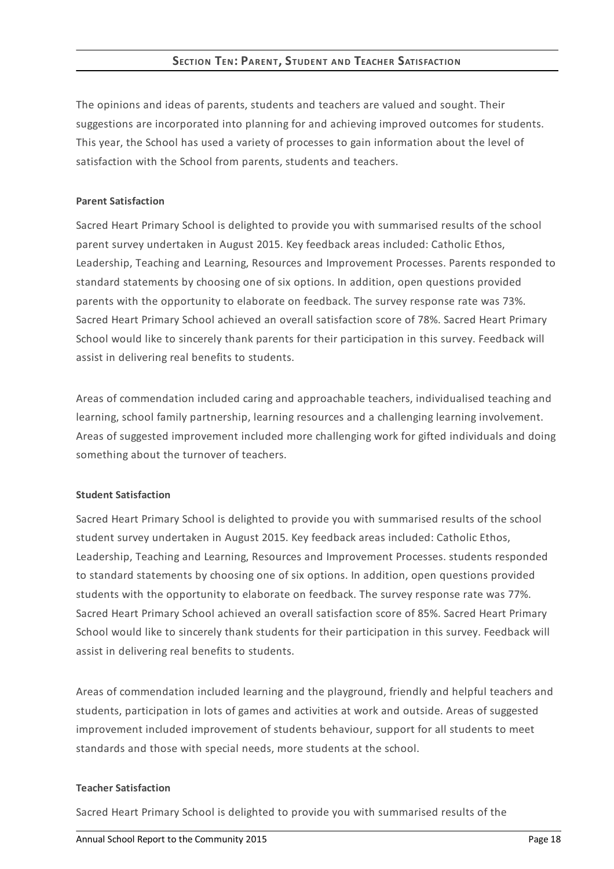# **SECTION TEN: PARENT, STUDENT AND TEACHER SATISFACTION**

The opinions and ideas of parents, students and teachers are valued and sought. Their suggestions are incorporated into planning for and achieving improved outcomes for students. This year, the School has used a variety of processes to gain information about the level of satisfaction with the School from parents, students and teachers.

#### **Parent Satisfaction**

Sacred Heart Primary School is delighted to provide you with summarised results of the school parent survey undertaken in August 2015. Key feedback areas included: Catholic Ethos, Leadership, Teaching and Learning, Resources and Improvement Processes. Parents responded to standard statements by choosing one of six options. In addition, open questions provided parents with the opportunity to elaborate on feedback. The survey response rate was 73%. Sacred Heart Primary School achieved an overall satisfaction score of 78%. Sacred Heart Primary School would like to sincerely thank parents for their participation in this survey. Feedback will assist in delivering real benefits to students.

Areas of commendation included caring and approachable teachers, individualised teaching and learning, school family partnership, learning resources and a challenging learning involvement. Areas of suggested improvement included more challenging work for gifted individuals and doing something about the turnover of teachers.

## **Student Satisfaction**

Sacred Heart Primary School is delighted to provide you with summarised results of the school student survey undertaken in August 2015. Key feedback areas included: Catholic Ethos, Leadership, Teaching and Learning, Resources and Improvement Processes. students responded to standard statements by choosing one of six options. In addition, open questions provided students with the opportunity to elaborate on feedback. The survey response rate was 77%. Sacred Heart Primary School achieved an overall satisfaction score of 85%. Sacred Heart Primary School would like to sincerely thank students for their participation in this survey. Feedback will assist in delivering real benefits to students.

Areas of commendation included learning and the playground, friendly and helpful teachers and students, participation in lots of games and activities at work and outside. Areas of suggested improvement included improvement of students behaviour, support for all students to meet standards and those with special needs, more students at the school.

#### **Teacher Satisfaction**

Sacred Heart Primary School is delighted to provide you with summarised results of the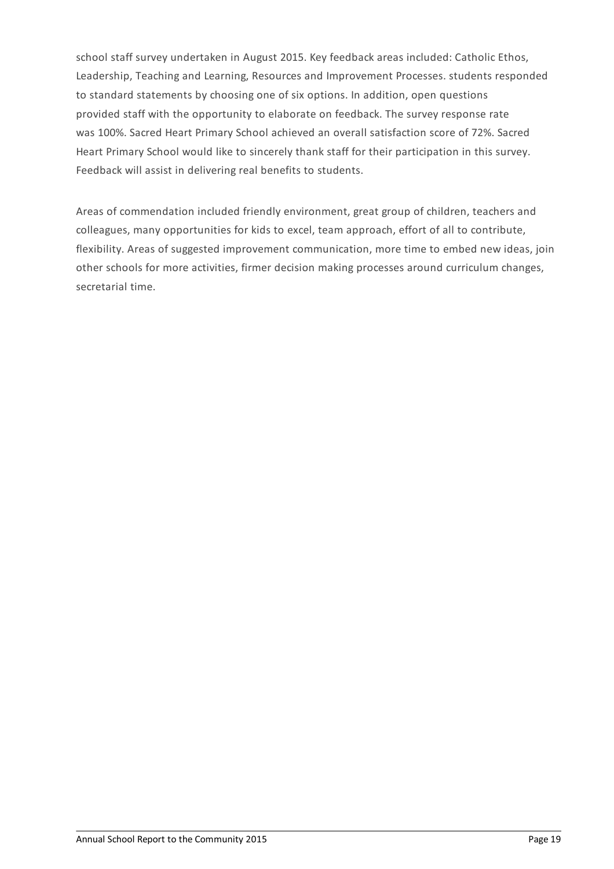school staff survey undertaken in August 2015. Key feedback areas included: Catholic Ethos, Leadership, Teaching and Learning, Resources and Improvement Processes. students responded to standard statements by choosing one of six options. In addition, open questions provided staff with the opportunity to elaborate on feedback. The survey response rate was 100%. Sacred Heart Primary School achieved an overall satisfaction score of 72%. Sacred Heart Primary School would like to sincerely thank staff for their participation in this survey. Feedback will assist in delivering real benefits to students.

Areas of commendation included friendly environment, great group of children, teachers and colleagues, many opportunities for kids to excel, team approach, effort of all to contribute, flexibility. Areas of suggested improvement communication, more time to embed new ideas, join other schools for more activities, firmer decision making processes around curriculum changes, secretarial time.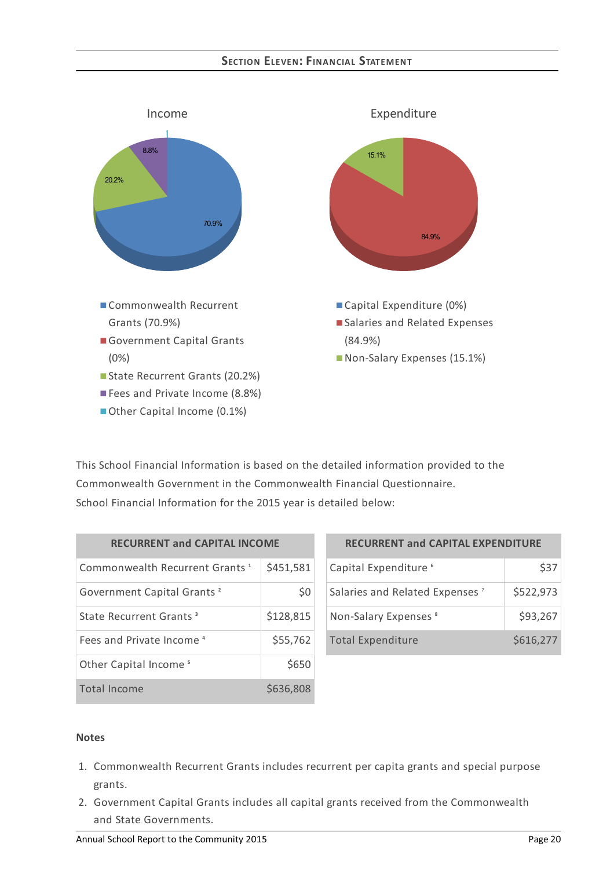# **SECTION ELEVEN:FINANCIAL STATEMENT**



This School Financial Information is based on the detailed information provided to the Commonwealth Government in the Commonwealth Financial Questionnaire. School Financial Information for the 2015 year is detailed below:

| <b>RECURRENT and CAPITAL INCOME</b>        |           |  |  |
|--------------------------------------------|-----------|--|--|
| Commonwealth Recurrent Grants <sup>1</sup> | \$451,581 |  |  |
| Government Capital Grants <sup>2</sup>     | \$0       |  |  |
| State Recurrent Grants <sup>3</sup>        | \$128,815 |  |  |
| Fees and Private Income <sup>4</sup>       | \$55,762  |  |  |
| Other Capital Income <sup>5</sup>          | \$650     |  |  |
| Total Income                               | \$636,808 |  |  |

| <b>RECURRENT and CAPITAL EXPENDITURE</b>   |           |  |
|--------------------------------------------|-----------|--|
| Capital Expenditure <sup>6</sup>           | \$37      |  |
| Salaries and Related Expenses <sup>7</sup> | \$522,973 |  |
| Non-Salary Expenses <sup>8</sup>           | \$93,267  |  |
| <b>Total Expenditure</b>                   | \$616,277 |  |

#### **Notes**

- 1. Commonwealth Recurrent Grants includes recurrent per capita grants and special purpose grants.
- 2. Government Capital Grants includes all capital grants received from the Commonwealth and State Governments.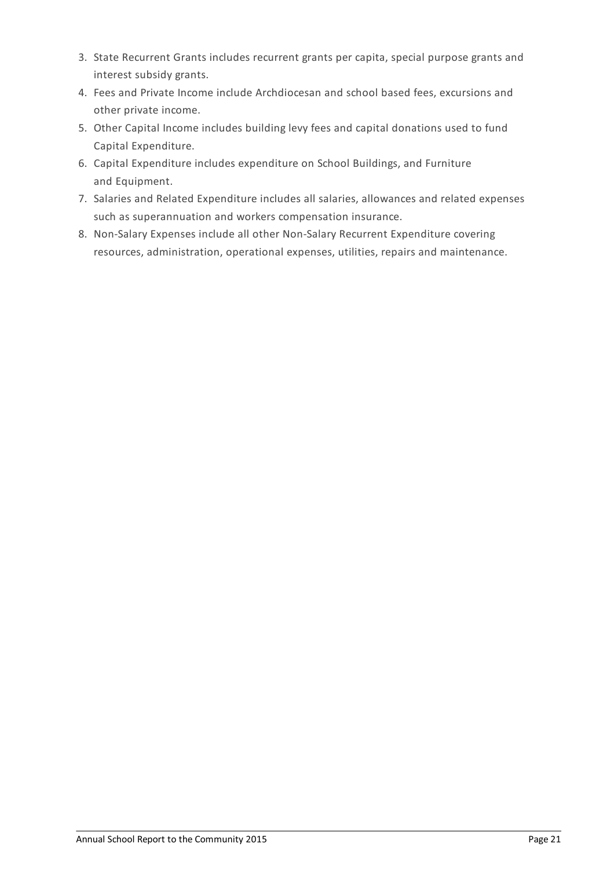- 3. State Recurrent Grants includes recurrent grants per capita, special purpose grants and interest subsidy grants.
- 4. Fees and Private Income include Archdiocesan and school based fees, excursions and other private income.
- 5. Other Capital Income includes building levy fees and capital donations used to fund Capital Expenditure.
- 6. Capital Expenditure includes expenditure on School Buildings, and Furniture and Equipment.
- 7. Salaries and Related Expenditure includes all salaries, allowances and related expenses such as superannuation and workers compensation insurance.
- 8. Non-Salary Expenses include all other Non-Salary Recurrent Expenditure covering resources, administration, operational expenses, utilities, repairs and maintenance.